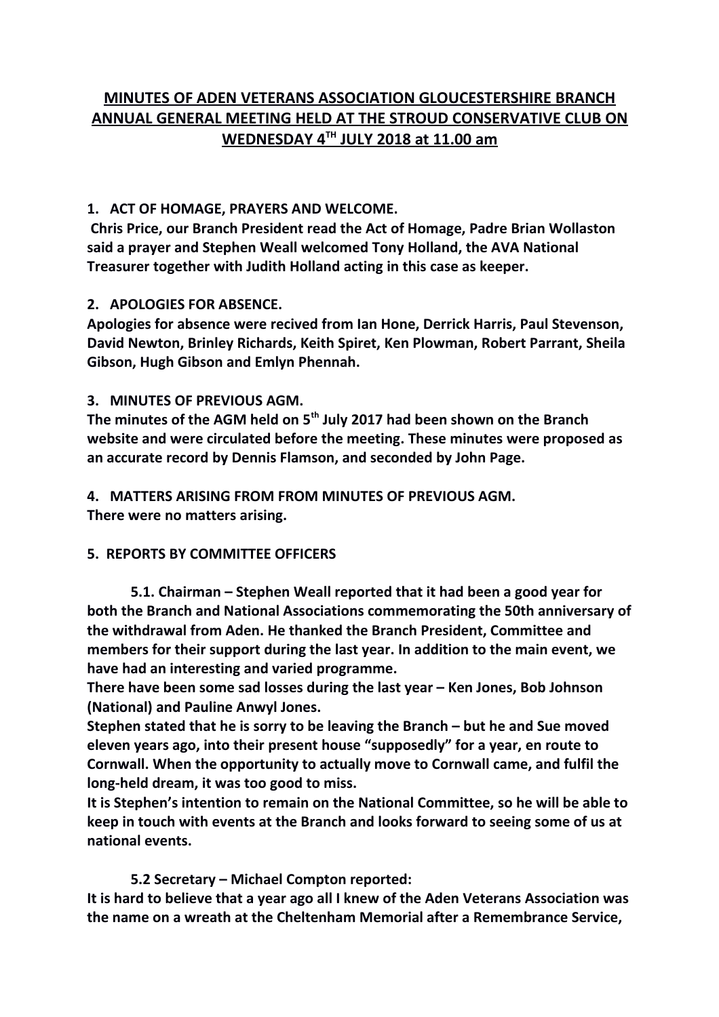# **MINUTES OF ADEN VETERANS ASSOCIATION GLOUCESTERSHIRE BRANCH ANNUAL GENERAL MEETING HELD AT THE STROUD CONSERVATIVE CLUB ON WEDNESDAY 4TH JULY 2018 at 11.00 am**

### **1. ACT OF HOMAGE, PRAYERS AND WELCOME.**

 **Chris Price, our Branch President read the Act of Homage, Padre Brian Wollaston said a prayer and Stephen Weall welcomed Tony Holland, the AVA National Treasurer together with Judith Holland acting in this case as keeper.**

# **2. APOLOGIES FOR ABSENCE.**

**Apologies for absence were recived from Ian Hone, Derrick Harris, Paul Stevenson, David Newton, Brinley Richards, Keith Spiret, Ken Plowman, Robert Parrant, Sheila Gibson, Hugh Gibson and Emlyn Phennah.**

# **3. MINUTES OF PREVIOUS AGM.**

**The minutes of the AGM held on 5th July 2017 had been shown on the Branch website and were circulated before the meeting. These minutes were proposed as an accurate record by Dennis Flamson, and seconded by John Page.**

**4. MATTERS ARISING FROM FROM MINUTES OF PREVIOUS AGM. There were no matters arising.**

# **5. REPORTS BY COMMITTEE OFFICERS**

**5.1. Chairman – Stephen Weall reported that it had been a good year for both the Branch and National Associations commemorating the 50th anniversary of the withdrawal from Aden. He thanked the Branch President, Committee and members for their support during the last year. In addition to the main event, we have had an interesting and varied programme.**

**There have been some sad losses during the last year – Ken Jones, Bob Johnson (National) and Pauline Anwyl Jones.** 

**Stephen stated that he is sorry to be leaving the Branch – but he and Sue moved eleven years ago, into their present house "supposedly" for a year, en route to Cornwall. When the opportunity to actually move to Cornwall came, and fulfil the long-held dream, it was too good to miss.**

**It is Stephen's intention to remain on the National Committee, so he will be able to keep in touch with events at the Branch and looks forward to seeing some of us at national events.**

**5.2 Secretary – Michael Compton reported:**

**It is hard to believe that a year ago all I knew of the Aden Veterans Association was the name on a wreath at the Cheltenham Memorial after a Remembrance Service,**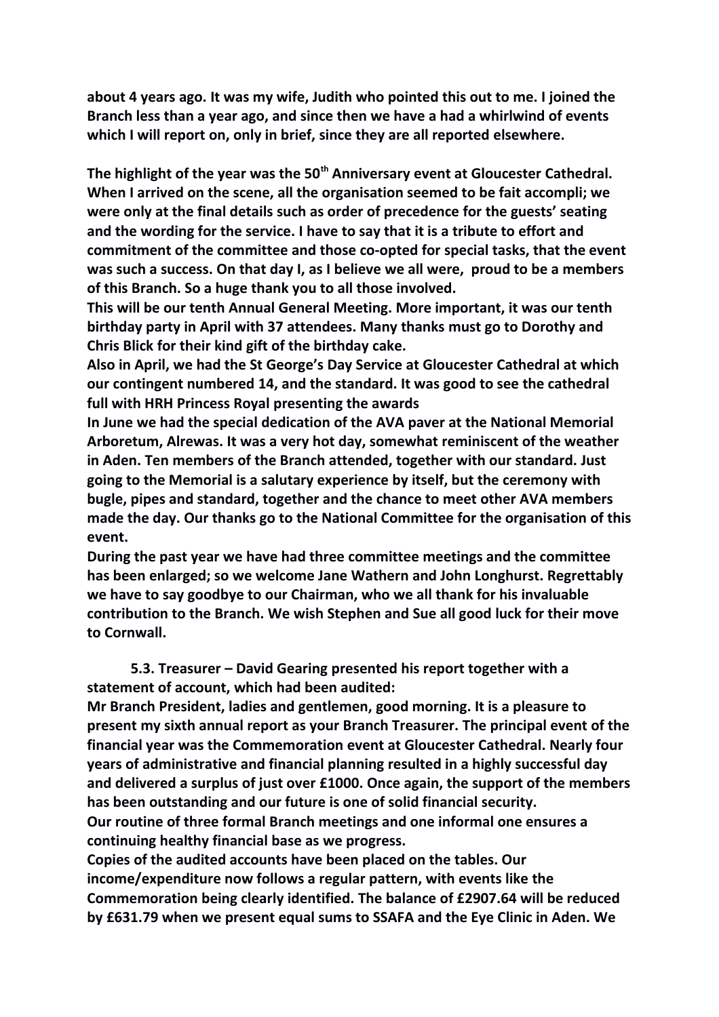**about 4 years ago. It was my wife, Judith who pointed this out to me. I joined the Branch less than a year ago, and since then we have a had a whirlwind of events which I will report on, only in brief, since they are all reported elsewhere.**

**The highlight of the year was the 50th Anniversary event at Gloucester Cathedral. When I arrived on the scene, all the organisation seemed to be fait accompli; we were only at the final details such as order of precedence for the guests' seating and the wording for the service. I have to say that it is a tribute to effort and commitment of the committee and those co-opted for special tasks, that the event was such a success. On that day I, as I believe we all were, proud to be a members of this Branch. So a huge thank you to all those involved.**

**This will be our tenth Annual General Meeting. More important, it was our tenth birthday party in April with 37 attendees. Many thanks must go to Dorothy and Chris Blick for their kind gift of the birthday cake.** 

**Also in April, we had the St George's Day Service at Gloucester Cathedral at which our contingent numbered 14, and the standard. It was good to see the cathedral full with HRH Princess Royal presenting the awards** 

**In June we had the special dedication of the AVA paver at the National Memorial Arboretum, Alrewas. It was a very hot day, somewhat reminiscent of the weather in Aden. Ten members of the Branch attended, together with our standard. Just going to the Memorial is a salutary experience by itself, but the ceremony with bugle, pipes and standard, together and the chance to meet other AVA members made the day. Our thanks go to the National Committee for the organisation of this event.** 

**During the past year we have had three committee meetings and the committee has been enlarged; so we welcome Jane Wathern and John Longhurst. Regrettably we have to say goodbye to our Chairman, who we all thank for his invaluable contribution to the Branch. We wish Stephen and Sue all good luck for their move to Cornwall.** 

**5.3. Treasurer – David Gearing presented his report together with a statement of account, which had been audited:**

**Mr Branch President, ladies and gentlemen, good morning. It is a pleasure to present my sixth annual report as your Branch Treasurer. The principal event of the financial year was the Commemoration event at Gloucester Cathedral. Nearly four years of administrative and financial planning resulted in a highly successful day and delivered a surplus of just over £1000. Once again, the support of the members has been outstanding and our future is one of solid financial security. Our routine of three formal Branch meetings and one informal one ensures a continuing healthy financial base as we progress.**

**Copies of the audited accounts have been placed on the tables. Our income/expenditure now follows a regular pattern, with events like the Commemoration being clearly identified. The balance of £2907.64 will be reduced by £631.79 when we present equal sums to SSAFA and the Eye Clinic in Aden. We**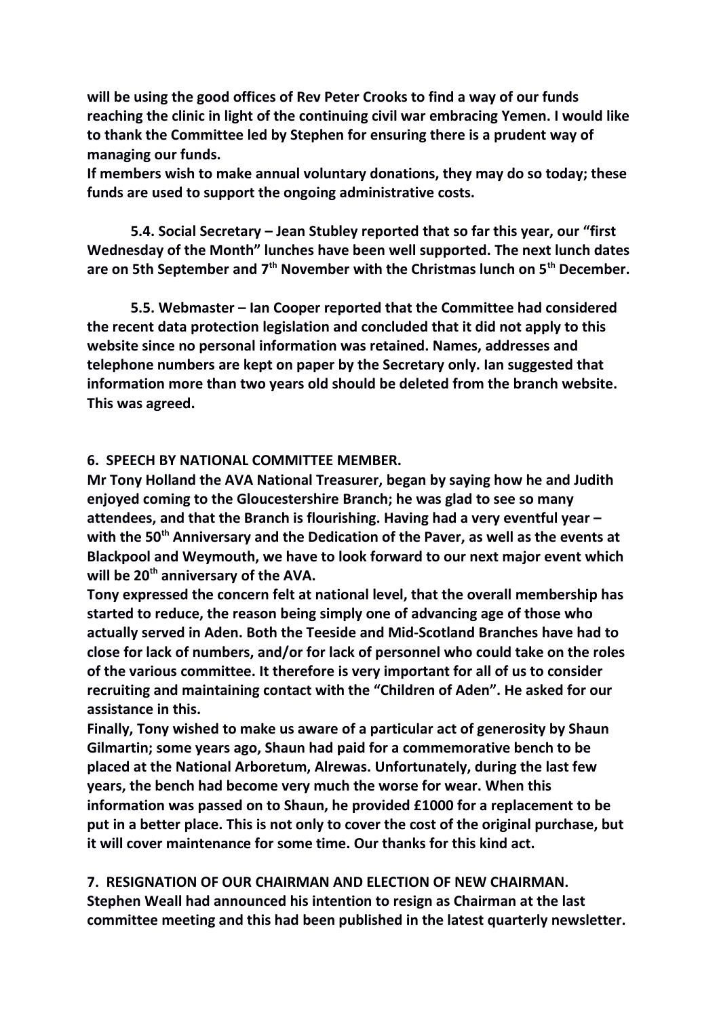**will be using the good offices of Rev Peter Crooks to find a way of our funds reaching the clinic in light of the continuing civil war embracing Yemen. I would like to thank the Committee led by Stephen for ensuring there is a prudent way of managing our funds.**

**If members wish to make annual voluntary donations, they may do so today; these funds are used to support the ongoing administrative costs.**

**5.4. Social Secretary – Jean Stubley reported that so far this year, our "first Wednesday of the Month" lunches have been well supported. The next lunch dates are on 5th September and 7th November with the Christmas lunch on 5th December.**

**5.5. Webmaster – Ian Cooper reported that the Committee had considered the recent data protection legislation and concluded that it did not apply to this website since no personal information was retained. Names, addresses and telephone numbers are kept on paper by the Secretary only. Ian suggested that information more than two years old should be deleted from the branch website. This was agreed.** 

#### **6. SPEECH BY NATIONAL COMMITTEE MEMBER.**

**Mr Tony Holland the AVA National Treasurer, began by saying how he and Judith enjoyed coming to the Gloucestershire Branch; he was glad to see so many attendees, and that the Branch is flourishing. Having had a very eventful year – with the 50th Anniversary and the Dedication of the Paver, as well as the events at Blackpool and Weymouth, we have to look forward to our next major event which will be 20th anniversary of the AVA.**

**Tony expressed the concern felt at national level, that the overall membership has started to reduce, the reason being simply one of advancing age of those who actually served in Aden. Both the Teeside and Mid-Scotland Branches have had to close for lack of numbers, and/or for lack of personnel who could take on the roles of the various committee. It therefore is very important for all of us to consider recruiting and maintaining contact with the "Children of Aden". He asked for our assistance in this.**

**Finally, Tony wished to make us aware of a particular act of generosity by Shaun Gilmartin; some years ago, Shaun had paid for a commemorative bench to be placed at the National Arboretum, Alrewas. Unfortunately, during the last few years, the bench had become very much the worse for wear. When this information was passed on to Shaun, he provided £1000 for a replacement to be put in a better place. This is not only to cover the cost of the original purchase, but it will cover maintenance for some time. Our thanks for this kind act.** 

**7. RESIGNATION OF OUR CHAIRMAN AND ELECTION OF NEW CHAIRMAN. Stephen Weall had announced his intention to resign as Chairman at the last committee meeting and this had been published in the latest quarterly newsletter.**